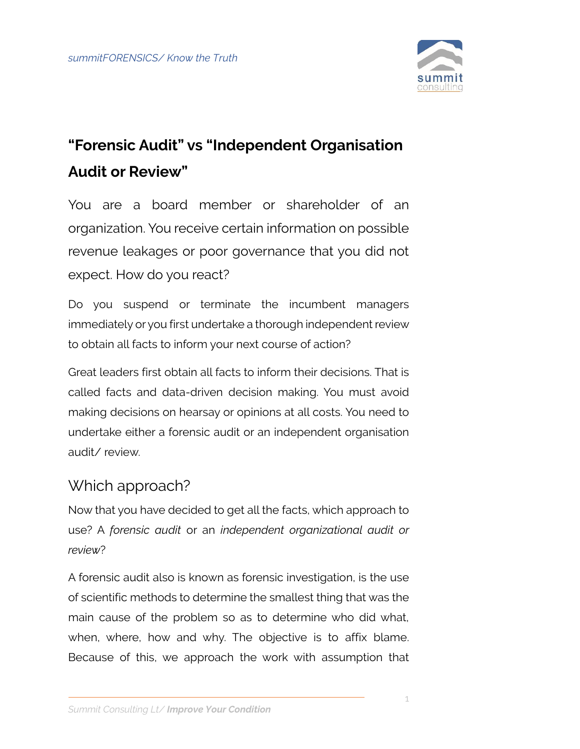

## **"Forensic Audit" vs "Independent Organisation Audit or Review"**

You are a board member or shareholder of an organization. You receive certain information on possible revenue leakages or poor governance that you did not expect. How do you react?

Do you suspend or terminate the incumbent managers immediately or you first undertake a thorough independent review to obtain all facts to inform your next course of action?

Great leaders first obtain all facts to inform their decisions. That is called facts and data-driven decision making. You must avoid making decisions on hearsay or opinions at all costs. You need to undertake either a forensic audit or an independent organisation audit/ review.

## Which approach?

Now that you have decided to get all the facts, which approach to use? A *forensic audit* or an *independent organizational audit or review*?

A forensic audit also is known as forensic investigation, is the use of scientific methods to determine the smallest thing that was the main cause of the problem so as to determine who did what, when, where, how and why. The objective is to affix blame. Because of this, we approach the work with assumption that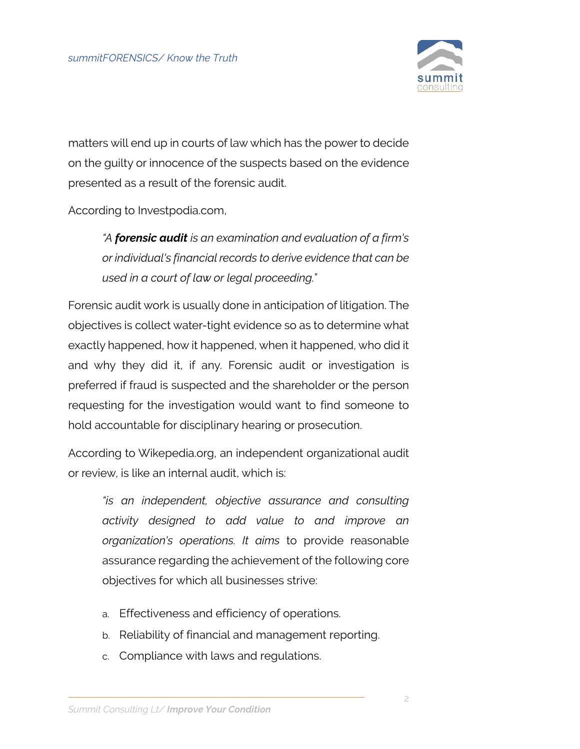

matters will end up in courts of law which has the power to decide on the guilty or innocence of the suspects based on the evidence presented as a result of the forensic audit.

According to Investpodia.com,

*"A forensic audit is an examination and evaluation of a firm's or individual's financial records to derive evidence that can be used in a court of law or legal proceeding."*

Forensic audit work is usually done in anticipation of litigation. The objectives is collect water-tight evidence so as to determine what exactly happened, how it happened, when it happened, who did it and why they did it, if any. Forensic audit or investigation is preferred if fraud is suspected and the shareholder or the person requesting for the investigation would want to find someone to hold accountable for disciplinary hearing or prosecution.

According to Wikepedia.org, an independent organizational audit or review, is like an internal audit, which is:

*"is an independent, objective assurance and consulting activity designed to add value to and improve an organization's operations. It aims* to provide reasonable assurance regarding the achievement of the following core objectives for which all businesses strive:

- a. Effectiveness and efficiency of operations.
- b. Reliability of financial and management reporting.
- c. Compliance with laws and regulations.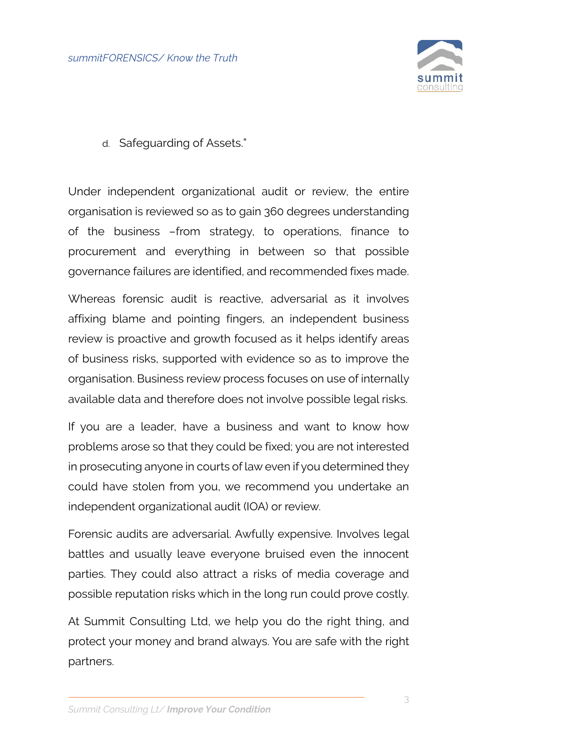

d. Safeguarding of Assets."

Under independent organizational audit or review, the entire organisation is reviewed so as to gain 360 degrees understanding of the business –from strategy, to operations, finance to procurement and everything in between so that possible governance failures are identified, and recommended fixes made.

Whereas forensic audit is reactive, adversarial as it involves affixing blame and pointing fingers, an independent business review is proactive and growth focused as it helps identify areas of business risks, supported with evidence so as to improve the organisation. Business review process focuses on use of internally available data and therefore does not involve possible legal risks.

If you are a leader, have a business and want to know how problems arose so that they could be fixed; you are not interested in prosecuting anyone in courts of law even if you determined they could have stolen from you, we recommend you undertake an independent organizational audit (IOA) or review.

Forensic audits are adversarial. Awfully expensive. Involves legal battles and usually leave everyone bruised even the innocent parties. They could also attract a risks of media coverage and possible reputation risks which in the long run could prove costly.

At Summit Consulting Ltd, we help you do the right thing, and protect your money and brand always. You are safe with the right partners.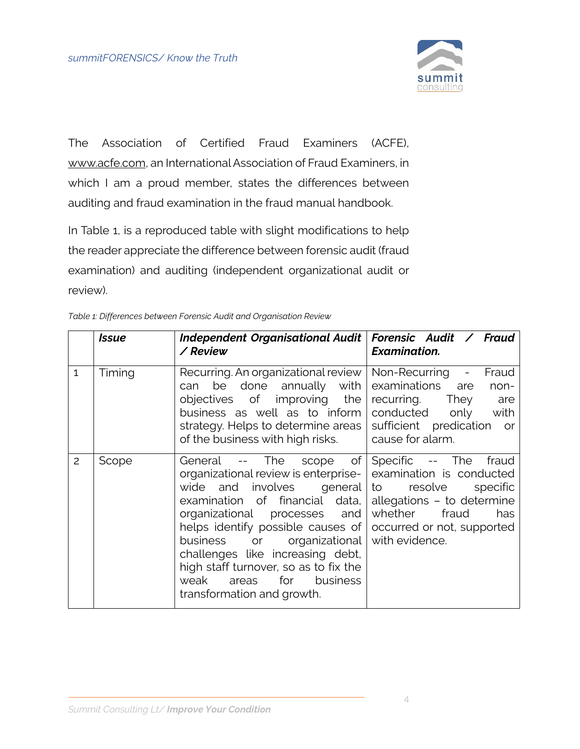

The Association of Certified Fraud Examiners (ACFE), [www.acfe.com,](http://www.acfe.com/) an International Association of Fraud Examiners, in which I am a proud member, states the differences between auditing and fraud examination in the fraud manual handbook.

In Table 1, is a reproduced table with slight modifications to help the reader appreciate the difference between forensic audit (fraud examination) and auditing (independent organizational audit or review).

| able 1: Differences between Forensic Audit and Organisation Review |              |                                                                                                                                                                                                                              |                                                                                          |
|--------------------------------------------------------------------|--------------|------------------------------------------------------------------------------------------------------------------------------------------------------------------------------------------------------------------------------|------------------------------------------------------------------------------------------|
|                                                                    | <b>Issue</b> | Independent Organisational Audit   Forensic Audit / Fraud<br>/ Review                                                                                                                                                        | <b>Examination.</b>                                                                      |
| $\mathbf{1}$                                                       | Timing       | Recurring. An organizational review   Non-Recurring -<br>can be done annually with examinations are<br>objectives of improving the<br>business as well as to inform<br>of the business with high risks.                      | Fraud<br>non-<br>recurring.<br>They<br>are<br>only with<br>conducted<br>cause for alarm. |
| $\overline{c}$                                                     | Scope        | General -- The<br>organizational review is enterprise- examination is conducted<br>wide and involves general to resolve<br>examination of financial data, allegations - to determine<br>organizational processes and whether | scope of Specific -- The<br>fraud<br>specific<br>fraud<br>has                            |

| Table 1: Differences between Forensic Audit and Organisation Review |  |  |
|---------------------------------------------------------------------|--|--|
|                                                                     |  |  |

|                |       | U LIIG DUSILIGSS WILLI LIIGH LISKS.                                                                                                                                                                                                                                                                                                                                                                                                                                                                               | Caust IVI alaffili.      |
|----------------|-------|-------------------------------------------------------------------------------------------------------------------------------------------------------------------------------------------------------------------------------------------------------------------------------------------------------------------------------------------------------------------------------------------------------------------------------------------------------------------------------------------------------------------|--------------------------|
| $\overline{c}$ | Scope | -- The scope of Specific -- The<br>General<br>organizational review is enterprise- examination is conducted<br>wide and involves general to resolve<br>examination of financial data, allegations - to determine<br>organizational processes and whether fraud<br>helps identify possible causes of occurred or not, supported<br>business or organizational with evidence.<br>challenges like increasing debt,<br>high staff turnover, so as to fix the<br>weak areas for business<br>transformation and growth. | fraud<br>specific<br>has |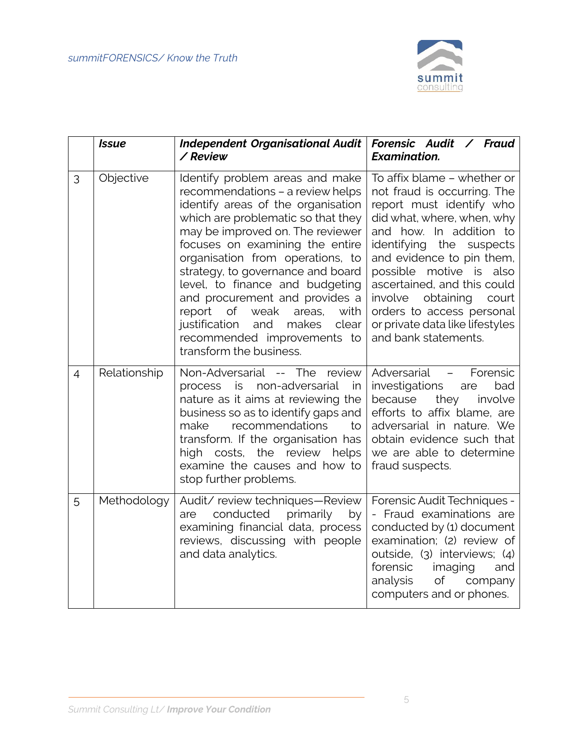

|                | <b>Issue</b> | <b>Independent Organisational Audit</b><br>/ Review                                                                                                                                                                                                                                                                                                                                                                                                                                                                | Forensic Audit / Fraud<br><b>Examination.</b>                                                                                                                                                                                                                                                                                                                                               |
|----------------|--------------|--------------------------------------------------------------------------------------------------------------------------------------------------------------------------------------------------------------------------------------------------------------------------------------------------------------------------------------------------------------------------------------------------------------------------------------------------------------------------------------------------------------------|---------------------------------------------------------------------------------------------------------------------------------------------------------------------------------------------------------------------------------------------------------------------------------------------------------------------------------------------------------------------------------------------|
| 3              | Objective    | Identify problem areas and make<br>recommendations - a review helps<br>identify areas of the organisation<br>which are problematic so that they<br>may be improved on. The reviewer<br>focuses on examining the entire<br>organisation from operations, to<br>strategy, to governance and board<br>level, to finance and budgeting<br>and procurement and provides a<br>weak<br>report<br>of<br>areas,<br>with<br>makes<br>clear<br>justification<br>and<br>recommended improvements to<br>transform the business. | To affix blame - whether or<br>not fraud is occurring. The<br>report must identify who<br>did what, where, when, why<br>and how. In addition to<br>identifying the suspects<br>and evidence to pin them,<br>possible motive is also<br>ascertained, and this could<br>obtaining<br>involve<br>court<br>orders to access personal<br>or private data like lifestyles<br>and bank statements. |
| $\overline{4}$ | Relationship | Non-Adversarial -- The<br>review<br>non-adversarial<br>process<br>is<br>in<br>nature as it aims at reviewing the<br>business so as to identify gaps and<br>recommendations<br>make<br>to<br>transform. If the organisation has<br>high costs, the review<br>helps<br>examine the causes and how to<br>stop further problems.                                                                                                                                                                                       | Adversarial -<br>Forensic<br>investigations<br>bad<br>are<br>because<br>they<br>involve<br>efforts to affix blame, are<br>adversarial in nature. We<br>obtain evidence such that<br>we are able to determine<br>fraud suspects.                                                                                                                                                             |
| 5              | Methodology  | Audit/ review techniques-Review<br>conducted<br>primarily<br>are<br>by<br>examining financial data, process<br>reviews, discussing with people<br>and data analytics.                                                                                                                                                                                                                                                                                                                                              | Forensic Audit Techniques -<br>- Fraud examinations are<br>conducted by (1) document<br>examination; (2) review of<br>outside, (3) interviews; (4)<br>forensic<br>imaging<br>and<br>Οf<br>analysis<br>company<br>computers and or phones.                                                                                                                                                   |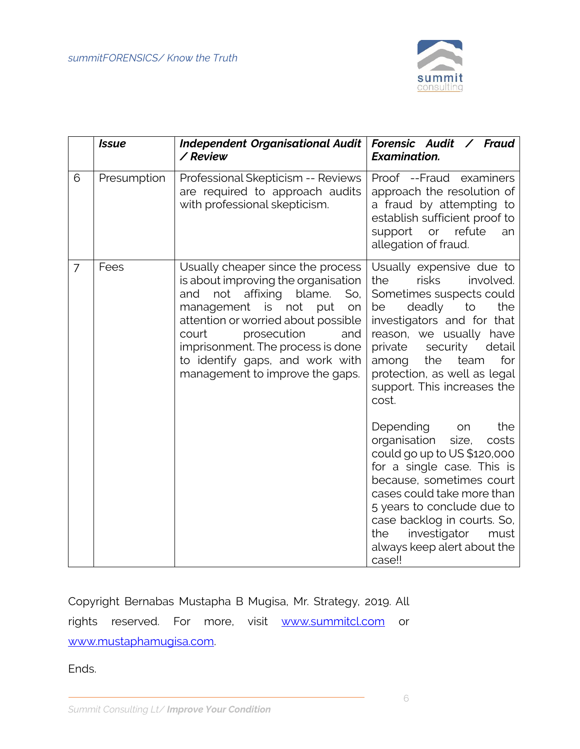

|                | <b>Issue</b> | <b>Independent Organisational Audit</b><br>/ Review                                                                                                                                                                                                                                                                                       | Forensic Audit / Fraud<br><b>Examination.</b>                                                                                                                                                                                                                                                                          |
|----------------|--------------|-------------------------------------------------------------------------------------------------------------------------------------------------------------------------------------------------------------------------------------------------------------------------------------------------------------------------------------------|------------------------------------------------------------------------------------------------------------------------------------------------------------------------------------------------------------------------------------------------------------------------------------------------------------------------|
| 6              | Presumption  | Professional Skepticism -- Reviews<br>are required to approach audits<br>with professional skepticism.                                                                                                                                                                                                                                    | Proof --Fraud examiners<br>approach the resolution of<br>a fraud by attempting to<br>establish sufficient proof to<br>or<br>refute<br>support<br>an<br>allegation of fraud.                                                                                                                                            |
| $\overline{7}$ | Fees         | Usually cheaper since the process<br>is about improving the organisation<br>not<br>affixing blame.<br>and<br>So,<br>management<br>is<br>not<br>put<br>on<br>attention or worried about possible<br>prosecution<br>court<br>and<br>imprisonment. The process is done<br>to identify gaps, and work with<br>management to improve the gaps. | Usually expensive due to<br><b>risks</b><br>involved.<br>the<br>Sometimes suspects could<br>deadly<br>to<br>the<br>be<br>investigators and for that<br>reason, we usually have<br>private<br>security<br>detail<br>the<br>team<br>for<br>among<br>protection, as well as legal<br>support. This increases the<br>cost. |
|                |              |                                                                                                                                                                                                                                                                                                                                           | Depending<br>the<br>on<br>organisation<br>size,<br>costs<br>could go up to US \$120,000<br>for a single case. This is<br>because, sometimes court<br>cases could take more than<br>5 years to conclude due to<br>case backlog in courts. So,<br>investigator<br>the<br>must<br>always keep alert about the<br>case!!   |

Copyright Bernabas Mustapha B Mugisa, Mr. Strategy, 2019. All rights reserved. For more, visit [www.summitcl.com](http://www.summitcl.com/) or [www.mustaphamugisa.com.](http://www.mustaphamugisa.com/)

Ends.